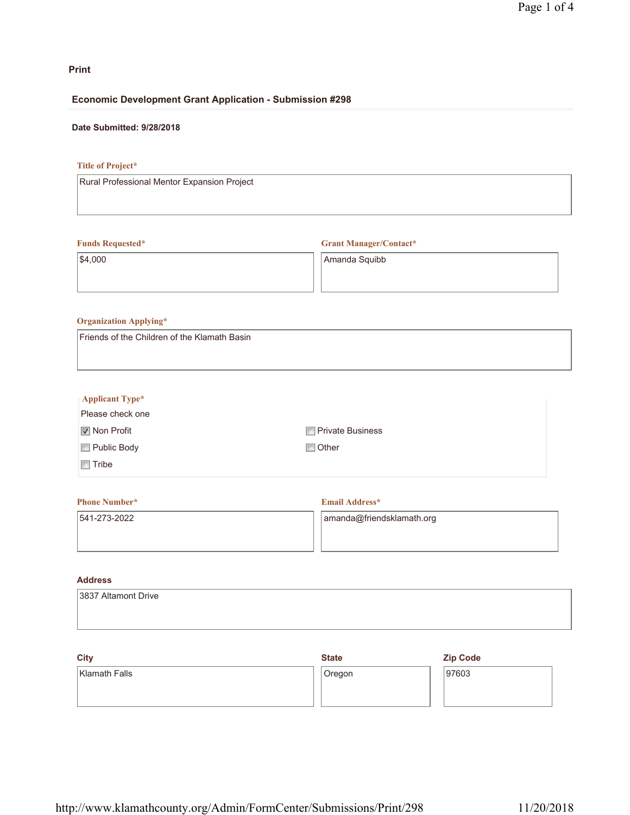# **Print**

## **Economic Development Grant Application - Submission #298**

# **Date Submitted: 9/28/2018**

# **Title of Project\***

Rural Professional Mentor Expansion Project

## **Funds Requested\***

**Grant Manager/Contact\***

\$4,000

Amanda Squibb

## **Organization Applying\***

Friends of the Children of the Klamath Basin

| $\Gamma$ Applicant Type* |                         |
|--------------------------|-------------------------|
| Please check one         |                         |
| <b>■</b> Non Profit      | <b>Private Business</b> |
| Public Body              | $\Box$ Other            |
| Tribe<br>F               |                         |

# **Phone Number\*** 541-273-2022 **Email Address\*** amanda@friendsklamath.org

# **Address**

| 3837 Altamont Drive |  |
|---------------------|--|
|                     |  |

| <b>City</b>          | <b>State</b> | <b>Zip Code</b> |
|----------------------|--------------|-----------------|
| <b>Klamath Falls</b> | Oregon       | 97603           |
|                      |              |                 |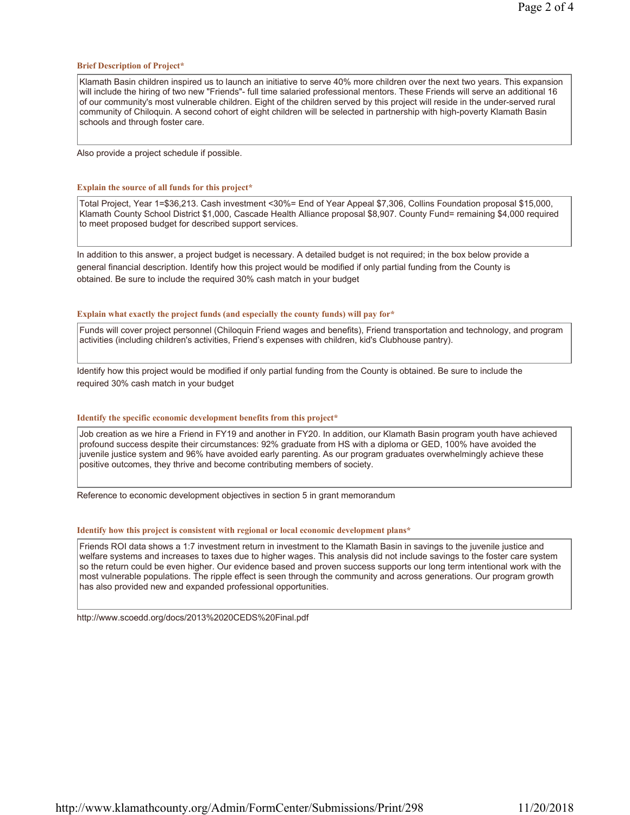#### **Brief Description of Project\***

Klamath Basin children inspired us to launch an initiative to serve 40% more children over the next two years. This expansion will include the hiring of two new "Friends"- full time salaried professional mentors. These Friends will serve an additional 16 of our community's most vulnerable children. Eight of the children served by this project will reside in the under-served rural community of Chiloquin. A second cohort of eight children will be selected in partnership with high-poverty Klamath Basin schools and through foster care.

Also provide a project schedule if possible.

#### **Explain the source of all funds for this project\***

Total Project, Year 1=\$36,213. Cash investment <30%= End of Year Appeal \$7,306, Collins Foundation proposal \$15,000, Klamath County School District \$1,000, Cascade Health Alliance proposal \$8,907. County Fund= remaining \$4,000 required to meet proposed budget for described support services.

In addition to this answer, a project budget is necessary. A detailed budget is not required; in the box below provide a general financial description. Identify how this project would be modified if only partial funding from the County is obtained. Be sure to include the required 30% cash match in your budget

#### **Explain what exactly the project funds (and especially the county funds) will pay for\***

Funds will cover project personnel (Chiloquin Friend wages and benefits), Friend transportation and technology, and program activities (including children's activities, Friend's expenses with children, kid's Clubhouse pantry).

Identify how this project would be modified if only partial funding from the County is obtained. Be sure to include the required 30% cash match in your budget

#### **Identify the specific economic development benefits from this project\***

Job creation as we hire a Friend in FY19 and another in FY20. In addition, our Klamath Basin program youth have achieved profound success despite their circumstances: 92% graduate from HS with a diploma or GED, 100% have avoided the juvenile justice system and 96% have avoided early parenting. As our program graduates overwhelmingly achieve these positive outcomes, they thrive and become contributing members of society.

Reference to economic development objectives in section 5 in grant memorandum

#### **Identify how this project is consistent with regional or local economic development plans\***

Friends ROI data shows a 1:7 investment return in investment to the Klamath Basin in savings to the juvenile justice and welfare systems and increases to taxes due to higher wages. This analysis did not include savings to the foster care system so the return could be even higher. Our evidence based and proven success supports our long term intentional work with the most vulnerable populations. The ripple effect is seen through the community and across generations. Our program growth has also provided new and expanded professional opportunities.

http://www.scoedd.org/docs/2013%2020CEDS%20Final.pdf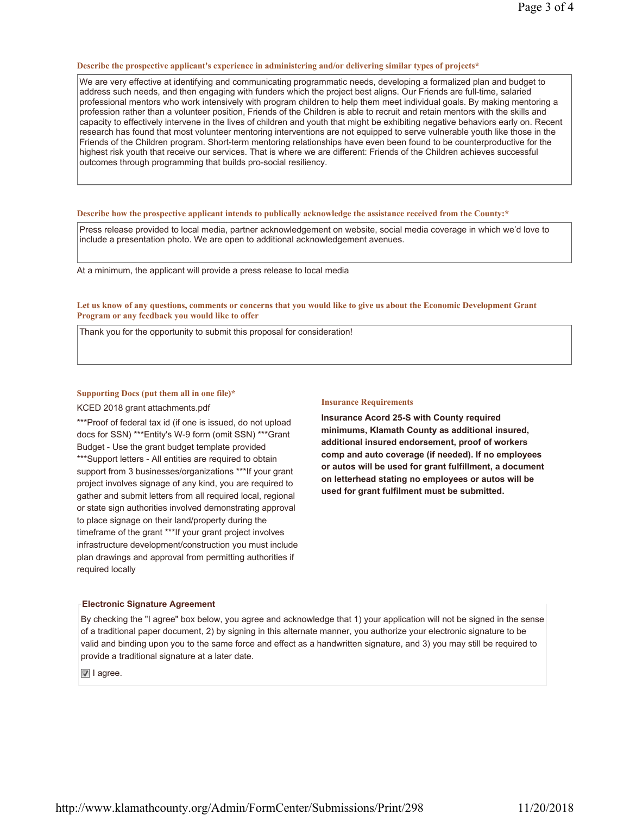#### **Describe the prospective applicant's experience in administering and/or delivering similar types of projects\***

We are very effective at identifying and communicating programmatic needs, developing a formalized plan and budget to address such needs, and then engaging with funders which the project best aligns. Our Friends are full-time, salaried professional mentors who work intensively with program children to help them meet individual goals. By making mentoring a profession rather than a volunteer position, Friends of the Children is able to recruit and retain mentors with the skills and capacity to effectively intervene in the lives of children and youth that might be exhibiting negative behaviors early on. Recent research has found that most volunteer mentoring interventions are not equipped to serve vulnerable youth like those in the Friends of the Children program. Short-term mentoring relationships have even been found to be counterproductive for the highest risk youth that receive our services. That is where we are different: Friends of the Children achieves successful outcomes through programming that builds pro-social resiliency.

#### **Describe how the prospective applicant intends to publically acknowledge the assistance received from the County:\***

Press release provided to local media, partner acknowledgement on website, social media coverage in which we'd love to include a presentation photo. We are open to additional acknowledgement avenues.

At a minimum, the applicant will provide a press release to local media

**Let us know of any questions, comments or concerns that you would like to give us about the Economic Development Grant Program or any feedback you would like to offer**

Thank you for the opportunity to submit this proposal for consideration!

#### **Supporting Docs (put them all in one file)\***

KCED 2018 grant attachments.pdf

\*\*\*Proof of federal tax id (if one is issued, do not upload docs for SSN) \*\*\*Entity's W-9 form (omit SSN) \*\*\*Grant Budget - Use the grant budget template provided

\*\*\*Support letters - All entities are required to obtain support from 3 businesses/organizations \*\*\*If your grant project involves signage of any kind, you are required to gather and submit letters from all required local, regional or state sign authorities involved demonstrating approval to place signage on their land/property during the timeframe of the grant \*\*\*If your grant project involves infrastructure development/construction you must include plan drawings and approval from permitting authorities if required locally

#### **Insurance Requirements**

**Insurance Acord 25-S with County required minimums, Klamath County as additional insured, additional insured endorsement, proof of workers comp and auto coverage (if needed). If no employees or autos will be used for grant fulfillment, a document on letterhead stating no employees or autos will be used for grant fulfilment must be submitted.**

#### **Electronic Signature Agreement**

By checking the "I agree" box below, you agree and acknowledge that 1) your application will not be signed in the sense of a traditional paper document, 2) by signing in this alternate manner, you authorize your electronic signature to be valid and binding upon you to the same force and effect as a handwritten signature, and 3) you may still be required to provide a traditional signature at a later date.

**■** I agree.